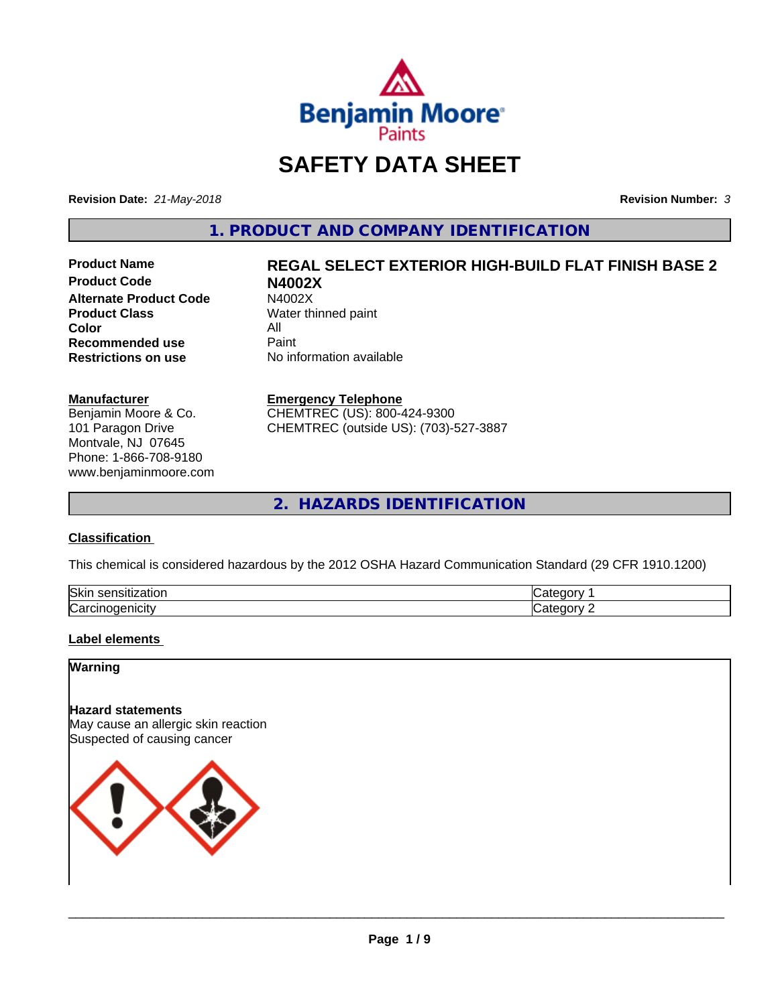

## **SAFETY DATA SHEET**

**Revision Date:** *21-May-2018* **Revision Number:** *3*

**1. PRODUCT AND COMPANY IDENTIFICATION**

**Product Code N4002X Alternate Product Code M4002X**<br>**Product Class Mater th** Water th **Color** All<br> **Recommended use** Paint **Recommended use**<br>Restrictions on use

# **Product Name REGAL SELECT EXTERIOR HIGH-BUILD FLAT FINISH BASE 2**

**Water thinned paint No information available** 

#### **Manufacturer**

Benjamin Moore & Co. 101 Paragon Drive Montvale, NJ 07645 Phone: 1-866-708-9180 www.benjaminmoore.com

#### **Emergency Telephone**

CHEMTREC (US): 800-424-9300 CHEMTREC (outside US): (703)-527-3887

**2. HAZARDS IDENTIFICATION**

#### **Classification**

This chemical is considered hazardous by the 2012 OSHA Hazard Communication Standard (29 CFR 1910.1200)

| Skin<br>sensitization<br>zauon | и<br>п     |
|--------------------------------|------------|
| ∽                              | $n$ $\sim$ |
| Carcır                         | ∽.         |
| ⊸nicitv                        | и          |

#### **Label elements**

**Warning**

#### **Hazard statements**

May cause an allergic skin reaction Suspected of causing cancer

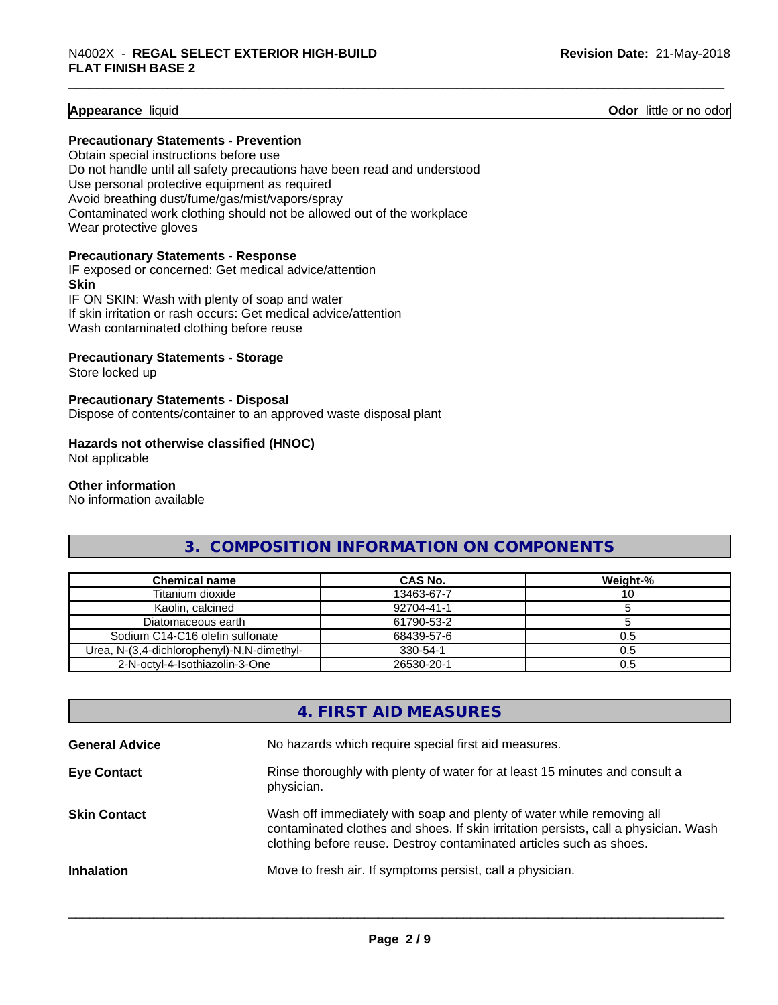#### **Appearance** liquid

**Odor** little or no odor

#### **Precautionary Statements - Prevention**

Obtain special instructions before use Do not handle until all safety precautions have been read and understood Use personal protective equipment as required

Avoid breathing dust/fume/gas/mist/vapors/spray Contaminated work clothing should not be allowed out of the workplace

Wear protective gloves

#### **Precautionary Statements - Response**

IF exposed or concerned: Get medical advice/attention **Skin** IF ON SKIN: Wash with plenty of soap and water If skin irritation or rash occurs: Get medical advice/attention

Wash contaminated clothing before reuse

#### **Precautionary Statements - Storage**

Store locked up

#### **Precautionary Statements - Disposal**

Dispose of contents/container to an approved waste disposal plant

#### **Hazards not otherwise classified (HNOC)**

Not applicable

#### **Other information**

No information available

#### **3. COMPOSITION INFORMATION ON COMPONENTS**

| <b>Chemical name</b>                       | CAS No.    | Weight-% |
|--------------------------------------------|------------|----------|
| Titanium dioxide                           | 13463-67-7 | ∣∪       |
| Kaolin, calcined                           | 92704-41-1 |          |
| Diatomaceous earth                         | 61790-53-2 |          |
| Sodium C14-C16 olefin sulfonate            | 68439-57-6 | 0.5      |
| Urea, N-(3,4-dichlorophenyl)-N,N-dimethyl- | 330-54-1   | 0.5      |
| 2-N-octvl-4-Isothiazolin-3-One             | 26530-20-1 | 0.5      |

#### **4. FIRST AID MEASURES**

| <b>General Advice</b> | No hazards which require special first aid measures.                                                                                                                                                                                |
|-----------------------|-------------------------------------------------------------------------------------------------------------------------------------------------------------------------------------------------------------------------------------|
| <b>Eye Contact</b>    | Rinse thoroughly with plenty of water for at least 15 minutes and consult a<br>physician.                                                                                                                                           |
| <b>Skin Contact</b>   | Wash off immediately with soap and plenty of water while removing all<br>contaminated clothes and shoes. If skin irritation persists, call a physician. Wash<br>clothing before reuse. Destroy contaminated articles such as shoes. |
| <b>Inhalation</b>     | Move to fresh air. If symptoms persist, call a physician.                                                                                                                                                                           |
|                       |                                                                                                                                                                                                                                     |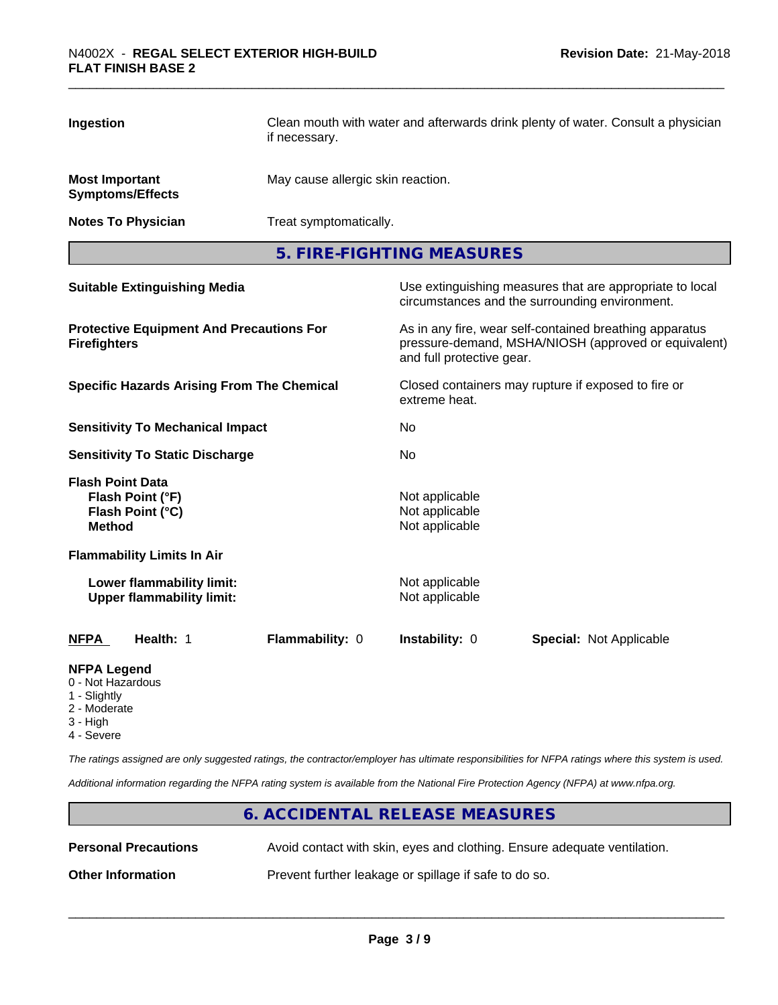| Ingestion                                                                                                                                         | if necessary.   | Clean mouth with water and afterwards drink plenty of water. Consult a physician |                                                                                                                 |  |  |
|---------------------------------------------------------------------------------------------------------------------------------------------------|-----------------|----------------------------------------------------------------------------------|-----------------------------------------------------------------------------------------------------------------|--|--|
| <b>Most Important</b><br><b>Symptoms/Effects</b>                                                                                                  |                 | May cause allergic skin reaction.                                                |                                                                                                                 |  |  |
| <b>Notes To Physician</b>                                                                                                                         |                 | Treat symptomatically.                                                           |                                                                                                                 |  |  |
| 5. FIRE-FIGHTING MEASURES                                                                                                                         |                 |                                                                                  |                                                                                                                 |  |  |
| <b>Suitable Extinguishing Media</b><br>Use extinguishing measures that are appropriate to local<br>circumstances and the surrounding environment. |                 |                                                                                  |                                                                                                                 |  |  |
| <b>Protective Equipment And Precautions For</b><br><b>Firefighters</b>                                                                            |                 | and full protective gear.                                                        | As in any fire, wear self-contained breathing apparatus<br>pressure-demand, MSHA/NIOSH (approved or equivalent) |  |  |
| <b>Specific Hazards Arising From The Chemical</b>                                                                                                 |                 | Closed containers may rupture if exposed to fire or<br>extreme heat.             |                                                                                                                 |  |  |
| <b>Sensitivity To Mechanical Impact</b>                                                                                                           |                 | No.                                                                              |                                                                                                                 |  |  |
| <b>Sensitivity To Static Discharge</b>                                                                                                            |                 | No                                                                               |                                                                                                                 |  |  |
| <b>Flash Point Data</b><br>Flash Point (°F)<br>Flash Point (°C)<br><b>Method</b>                                                                  |                 | Not applicable<br>Not applicable<br>Not applicable                               |                                                                                                                 |  |  |
| <b>Flammability Limits In Air</b>                                                                                                                 |                 |                                                                                  |                                                                                                                 |  |  |
| Lower flammability limit:<br><b>Upper flammability limit:</b>                                                                                     |                 | Not applicable<br>Not applicable                                                 |                                                                                                                 |  |  |
| Health: 1<br><b>NFPA</b>                                                                                                                          | Flammability: 0 | Instability: 0                                                                   | <b>Special: Not Applicable</b>                                                                                  |  |  |
| <b>NFPA Legend</b>                                                                                                                                |                 |                                                                                  |                                                                                                                 |  |  |

- 0 Not Hazardous
- 1 Slightly
- 2 Moderate
- 3 High
- 4 Severe

*The ratings assigned are only suggested ratings, the contractor/employer has ultimate responsibilities for NFPA ratings where this system is used.*

*Additional information regarding the NFPA rating system is available from the National Fire Protection Agency (NFPA) at www.nfpa.org.*

## **6. ACCIDENTAL RELEASE MEASURES Personal Precautions** Avoid contact with skin, eyes and clothing. Ensure adequate ventilation. **Other Information** Prevent further leakage or spillage if safe to do so.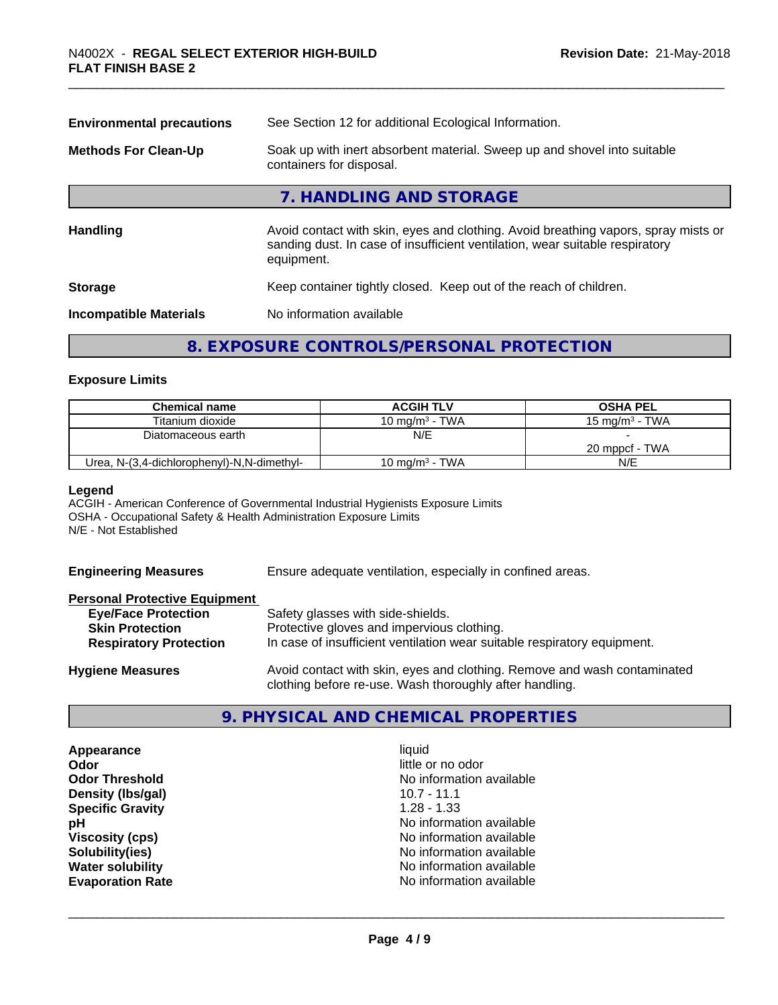| See Section 12 for additional Ecological Information.<br><b>Environmental precautions</b>                                                                                        |  |  |
|----------------------------------------------------------------------------------------------------------------------------------------------------------------------------------|--|--|
| Soak up with inert absorbent material. Sweep up and shovel into suitable<br>containers for disposal.                                                                             |  |  |
| 7. HANDLING AND STORAGE                                                                                                                                                          |  |  |
| Avoid contact with skin, eyes and clothing. Avoid breathing vapors, spray mists or<br>sanding dust. In case of insufficient ventilation, wear suitable respiratory<br>equipment. |  |  |
| Keep container tightly closed. Keep out of the reach of children.                                                                                                                |  |  |
| No information available<br><b>Incompatible Materials</b>                                                                                                                        |  |  |
|                                                                                                                                                                                  |  |  |

## **8. EXPOSURE CONTROLS/PERSONAL PROTECTION**

#### **Exposure Limits**

| <b>Chemical name</b>                       | <b>ACGIH TLV</b>  | <b>OSHA PEL</b>           |
|--------------------------------------------|-------------------|---------------------------|
| Titanium dioxide                           | 10 mg/m $3$ - TWA | $15 \text{ ma/m}^3$ - TWA |
| Diatomaceous earth                         | N/E               |                           |
|                                            |                   | 20 mppcf - TWA            |
| Urea, N-(3,4-dichlorophenyl)-N,N-dimethyl- | 10 mg/m $3$ - TWA | N/E                       |

#### **Legend**

ACGIH - American Conference of Governmental Industrial Hygienists Exposure Limits OSHA - Occupational Safety & Health Administration Exposure Limits N/E - Not Established

**Engineering Measures** Ensure adequate ventilation, especially in confined areas.

#### **Personal Protective Equipment**

| <b>Eye/Face Protection</b>    | Safety glasses with side-shields.                                        |
|-------------------------------|--------------------------------------------------------------------------|
| <b>Skin Protection</b>        | Protective gloves and impervious clothing.                               |
| <b>Respiratory Protection</b> | In case of insufficient ventilation wear suitable respiratory equipment. |
| <b>Hygiene Measures</b>       | Avoid contact with skin, eyes and clothing. Remove and wash contaminated |

#### **9. PHYSICAL AND CHEMICAL PROPERTIES**

**Appearance** liquid **Odor** little or no odor **Density (Ibs/gal)** 10.7 - 11.1 **Specific Gravity** 1.28 - 1.33

**Odor Threshold** No information available **pH**<br>
Viscosity (cps) The Contract Contract Contract Contract Contract Contract Contract Contract Contract Contract C<br>
No information available **Viscosity (cps)** No information available<br> **Solubility(ies)** No information available<br>
No information available **Solubility(ies)** No information available **Water solubility**<br> **Evaporation Rate**<br> **Evaporation Rate**<br> **Evaporation Rate Evaporation Rate** No information available

 $\overline{\phantom{a}}$  ,  $\overline{\phantom{a}}$  ,  $\overline{\phantom{a}}$  ,  $\overline{\phantom{a}}$  ,  $\overline{\phantom{a}}$  ,  $\overline{\phantom{a}}$  ,  $\overline{\phantom{a}}$  ,  $\overline{\phantom{a}}$  ,  $\overline{\phantom{a}}$  ,  $\overline{\phantom{a}}$  ,  $\overline{\phantom{a}}$  ,  $\overline{\phantom{a}}$  ,  $\overline{\phantom{a}}$  ,  $\overline{\phantom{a}}$  ,  $\overline{\phantom{a}}$  ,  $\overline{\phantom{a}}$ 

clothing before re-use. Wash thoroughly after handling.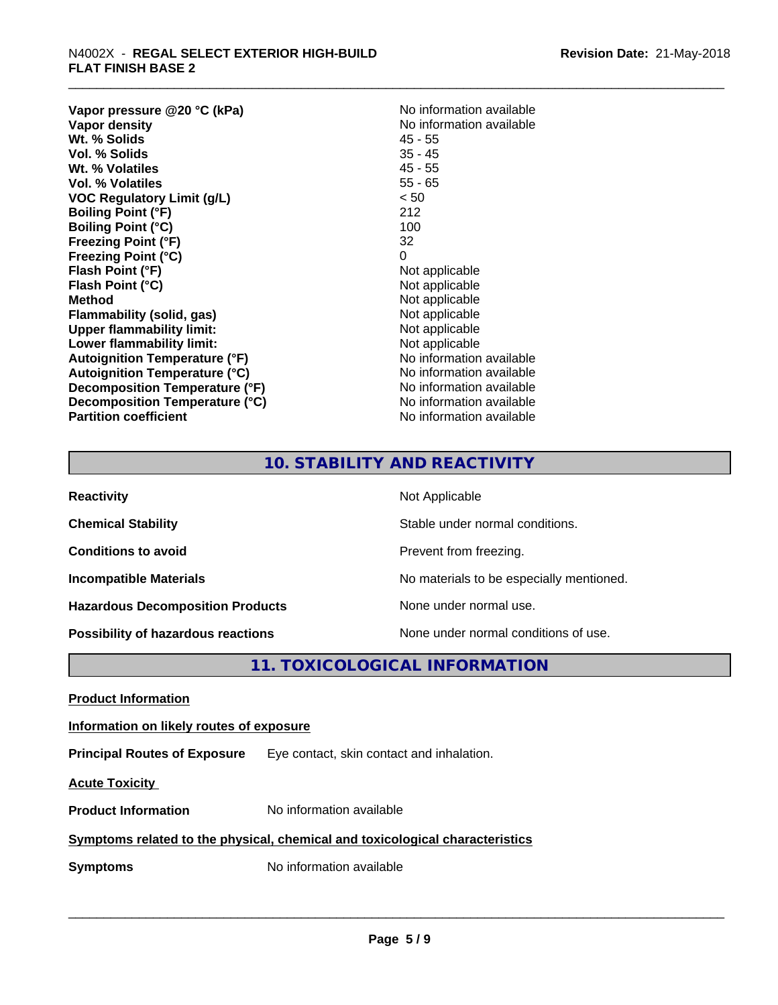## \_\_\_\_\_\_\_\_\_\_\_\_\_\_\_\_\_\_\_\_\_\_\_\_\_\_\_\_\_\_\_\_\_\_\_\_\_\_\_\_\_\_\_\_\_\_\_\_\_\_\_\_\_\_\_\_\_\_\_\_\_\_\_\_\_\_\_\_\_\_\_\_\_\_\_\_\_\_\_\_\_\_\_\_\_\_\_\_\_\_\_\_\_ N4002X - **REGAL SELECT EXTERIOR HIGH-BUILD FLAT FINISH BASE 2**

**Vapor pressure @20 °C (kPa)**<br> **Vapor density**<br> **Vapor density**<br> **Vapor density Wt. % Solids** 45 - 55 **Vol. % Solids** 35 - 45<br> **Wt. % Volatiles** 35 - 45 **Wt. % Volatiles Vol. % Volatiles** 55 - 65 **VOC Regulatory Limit (g/L)** < 50 **Boiling Point (°F)** 212 **Boiling Point (°C)** 100 **Freezing Point (°F)** 32 **Freezing Point (°C)** 0 **Flash Point (°F)** Not applicable **Flash Point (°C)**<br> **Method** Not applicable<br> **Method** Not applicable **Flammability** (solid, gas) **Upper flammability limit:**<br> **Lower flammability limit:** Not applicable Not applicable **Lower flammability limit:**<br> **Autoignition Temperature (°F)** Not applicable havailable **Autoignition Temperature (°F) Autoignition Temperature (°C)**<br> **Decomposition Temperature (°F)** No information available **Decomposition Temperature (°F) Decomposition Temperature (°C)** No information available **Partition coefficient Contract Contract Contract Contract Contract Contract Contract Contract Contract Contract Contract Contract Contract Contract Contract Contract Contract Contract Contract Contract Contract Contract** 

**No information available**<br>45 - 55 **Not applicable**<br>Not applicable

### **10. STABILITY AND REACTIVITY**

| <b>Reactivity</b>                         | Not Applicable                           |
|-------------------------------------------|------------------------------------------|
| <b>Chemical Stability</b>                 | Stable under normal conditions.          |
| <b>Conditions to avoid</b>                | Prevent from freezing.                   |
| <b>Incompatible Materials</b>             | No materials to be especially mentioned. |
| <b>Hazardous Decomposition Products</b>   | None under normal use.                   |
| <b>Possibility of hazardous reactions</b> | None under normal conditions of use.     |

#### **11. TOXICOLOGICAL INFORMATION**

**Product Information**

**Information on likely routes of exposure**

**Principal Routes of Exposure** Eye contact, skin contact and inhalation.

**Acute Toxicity** 

**Product Information** No information available

#### **Symptoms related to the physical,chemical and toxicological characteristics**

**Symptoms** No information available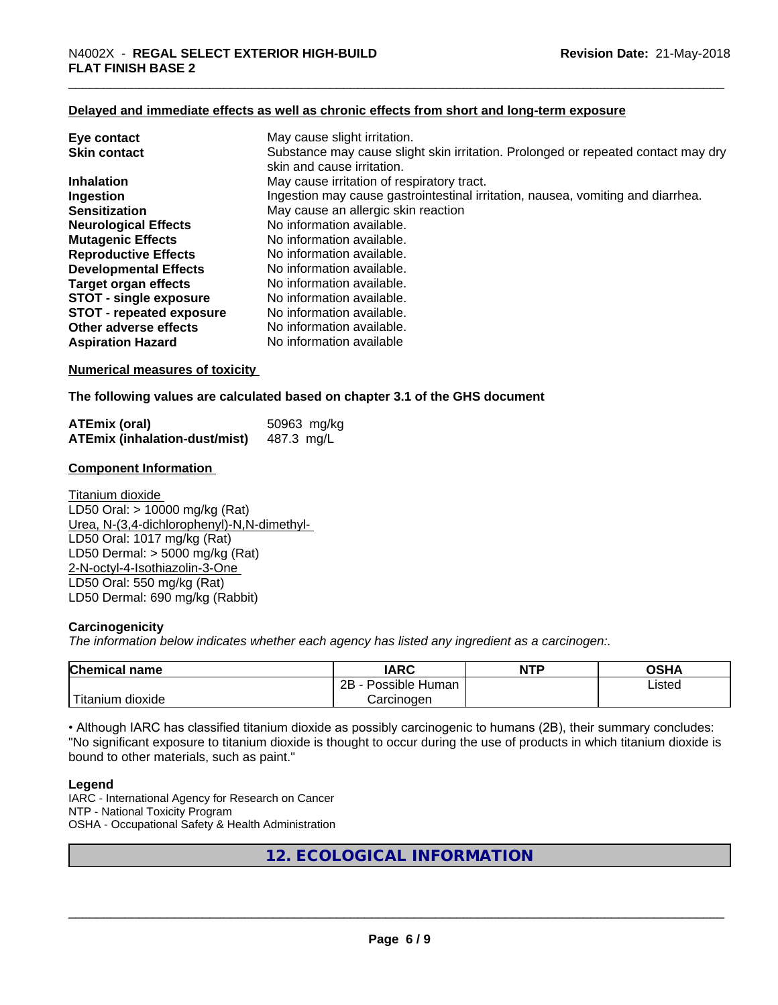#### **Delayed and immediate effects as well as chronic effects from short and long-term exposure**

| Eye contact                     | May cause slight irritation.                                                      |
|---------------------------------|-----------------------------------------------------------------------------------|
| <b>Skin contact</b>             | Substance may cause slight skin irritation. Prolonged or repeated contact may dry |
|                                 | skin and cause irritation.                                                        |
| <b>Inhalation</b>               | May cause irritation of respiratory tract.                                        |
| Ingestion                       | Ingestion may cause gastrointestinal irritation, nausea, vomiting and diarrhea.   |
| <b>Sensitization</b>            | May cause an allergic skin reaction                                               |
| <b>Neurological Effects</b>     | No information available.                                                         |
| <b>Mutagenic Effects</b>        | No information available.                                                         |
| <b>Reproductive Effects</b>     | No information available.                                                         |
| <b>Developmental Effects</b>    | No information available.                                                         |
| Target organ effects            | No information available.                                                         |
| <b>STOT - single exposure</b>   | No information available.                                                         |
| <b>STOT - repeated exposure</b> | No information available.                                                         |
| Other adverse effects           | No information available.                                                         |
| <b>Aspiration Hazard</b>        | No information available                                                          |

**Numerical measures of toxicity**

**The following values are calculated based on chapter 3.1 of the GHS document**

| ATEmix (oral)                        | 50963 mg/kg |
|--------------------------------------|-------------|
| <b>ATEmix (inhalation-dust/mist)</b> | 487.3 mg/L  |

#### **Component Information**

Titanium dioxide LD50 Oral: > 10000 mg/kg (Rat) Urea, N-(3,4-dichlorophenyl)-N,N-dimethyl- LD50 Oral: 1017 mg/kg (Rat) LD50 Dermal: > 5000 mg/kg (Rat) 2-N-octyl-4-Isothiazolin-3-One LD50 Oral: 550 mg/kg (Rat) LD50 Dermal: 690 mg/kg (Rabbit)

#### **Carcinogenicity**

*The information below indicateswhether each agency has listed any ingredient as a carcinogen:.*

| <b>Chemical</b><br>name          | <b>IARC</b>                  | <b>NTP</b> | $\sim$ $\sim$<br>אחטט |
|----------------------------------|------------------------------|------------|-----------------------|
|                                  | .<br>2B<br>Human<br>Possible |            | Listed<br>____        |
| .<br>. dioxide<br><b>itanium</b> | Carcinogen                   |            |                       |

• Although IARC has classified titanium dioxide as possibly carcinogenic to humans (2B), their summary concludes: "No significant exposure to titanium dioxide is thought to occur during the use of products in which titanium dioxide is bound to other materials, such as paint."

#### **Legend**

IARC - International Agency for Research on Cancer NTP - National Toxicity Program OSHA - Occupational Safety & Health Administration

**12. ECOLOGICAL INFORMATION**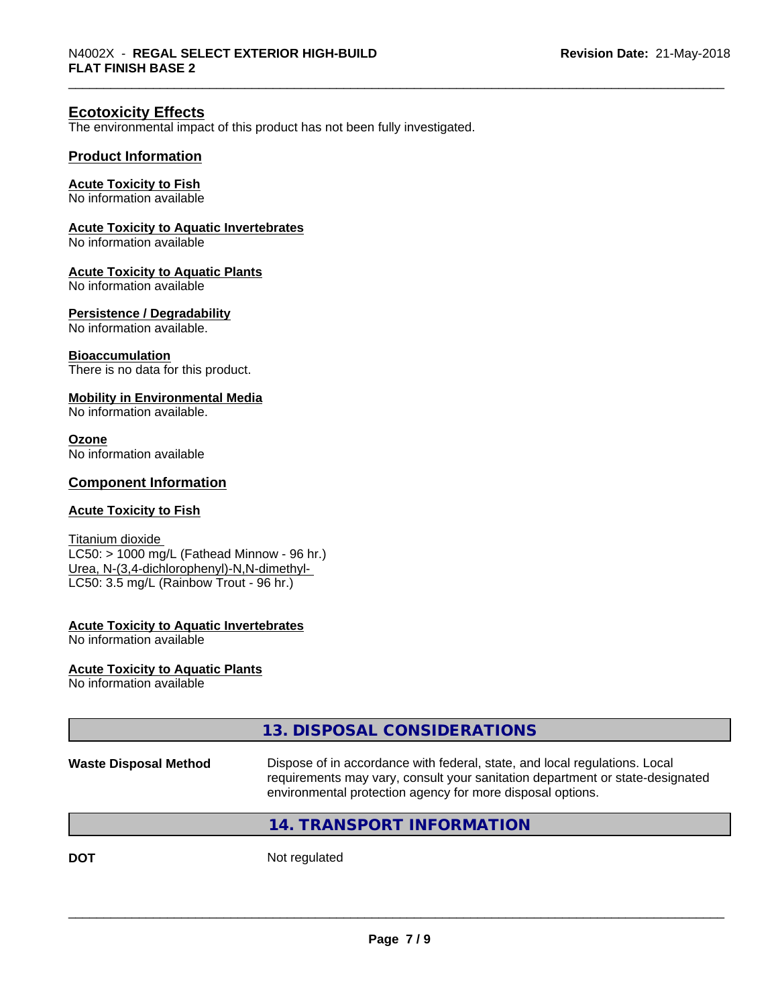#### **Ecotoxicity Effects**

The environmental impact of this product has not been fully investigated.

#### **Product Information**

#### **Acute Toxicity to Fish**

No information available

#### **Acute Toxicity to Aquatic Invertebrates**

No information available

#### **Acute Toxicity to Aquatic Plants**

No information available

#### **Persistence / Degradability**

No information available.

#### **Bioaccumulation**

There is no data for this product.

#### **Mobility in Environmental Media**

No information available.

#### **Ozone**

No information available

#### **Component Information**

#### **Acute Toxicity to Fish**

Titanium dioxide  $LC50: > 1000$  mg/L (Fathead Minnow - 96 hr.) Urea, N-(3,4-dichlorophenyl)-N,N-dimethyl- LC50: 3.5 mg/L (Rainbow Trout - 96 hr.)

#### **Acute Toxicity to Aquatic Invertebrates**

No information available

#### **Acute Toxicity to Aquatic Plants**

No information available

#### **13. DISPOSAL CONSIDERATIONS**

**Waste Disposal Method** Dispose of in accordance with federal, state, and local regulations. Local requirements may vary, consult your sanitation department or state-designated environmental protection agency for more disposal options.

 $\overline{\phantom{a}}$  ,  $\overline{\phantom{a}}$  ,  $\overline{\phantom{a}}$  ,  $\overline{\phantom{a}}$  ,  $\overline{\phantom{a}}$  ,  $\overline{\phantom{a}}$  ,  $\overline{\phantom{a}}$  ,  $\overline{\phantom{a}}$  ,  $\overline{\phantom{a}}$  ,  $\overline{\phantom{a}}$  ,  $\overline{\phantom{a}}$  ,  $\overline{\phantom{a}}$  ,  $\overline{\phantom{a}}$  ,  $\overline{\phantom{a}}$  ,  $\overline{\phantom{a}}$  ,  $\overline{\phantom{a}}$ 

#### **14. TRANSPORT INFORMATION**

**DOT** Not regulated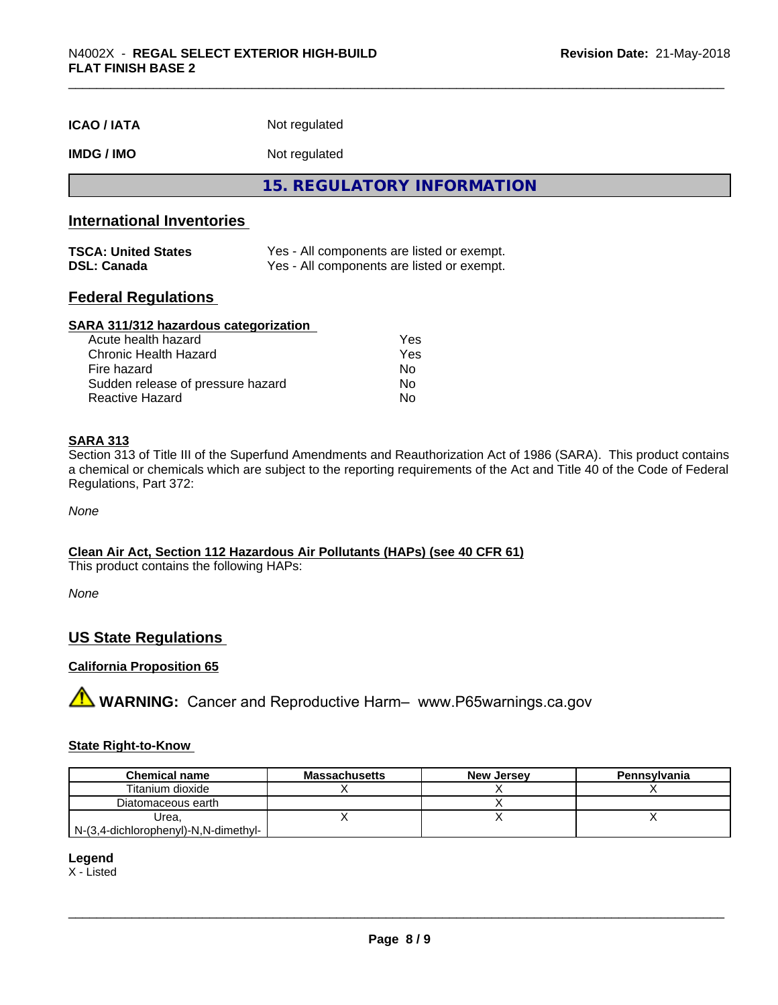| <b>ICAO/IATA</b> | Not regulated |  |
|------------------|---------------|--|
|------------------|---------------|--|

#### **IMDG / IMO** Not regulated

**15. REGULATORY INFORMATION**

#### **International Inventories**

| <b>TSCA: United States</b> | Yes - All components are listed or exempt. |
|----------------------------|--------------------------------------------|
| <b>DSL: Canada</b>         | Yes - All components are listed or exempt. |

#### **Federal Regulations**

#### **SARA 311/312 hazardous categorization**

| Acute health hazard               | Yes |
|-----------------------------------|-----|
| Chronic Health Hazard             | Yes |
| Fire hazard                       | Nο  |
| Sudden release of pressure hazard | Nο  |
| Reactive Hazard                   | N٥  |

#### **SARA 313**

Section 313 of Title III of the Superfund Amendments and Reauthorization Act of 1986 (SARA). This product contains a chemical or chemicals which are subject to the reporting requirements of the Act and Title 40 of the Code of Federal Regulations, Part 372:

*None*

#### **Clean Air Act,Section 112 Hazardous Air Pollutants (HAPs) (see 40 CFR 61)**

This product contains the following HAPs:

*None*

#### **US State Regulations**

#### **California Proposition 65**

**A** WARNING: Cancer and Reproductive Harm– www.P65warnings.ca.gov

#### **State Right-to-Know**

| <b>Chemical name</b>                        | <b>Massachusetts</b> | <b>New Jersey</b> | Pennsylvania |
|---------------------------------------------|----------------------|-------------------|--------------|
| Titanium dioxide                            |                      |                   |              |
| Diatomaceous earth                          |                      |                   |              |
| Urea.                                       |                      |                   |              |
| $N-(3,4$ -dichlorophenyl)- $N,N$ -dimethyl- |                      |                   |              |

**Legend**

X - Listed